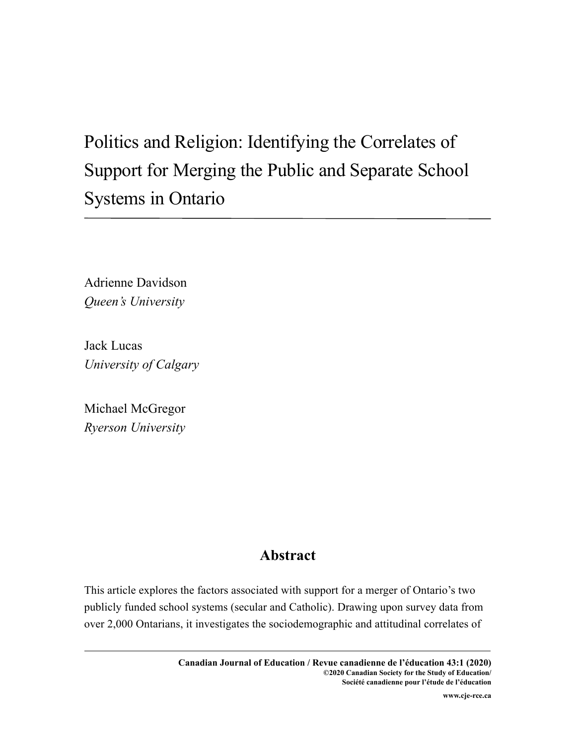# Politics and Religion: Identifying the Correlates of Support for Merging the Public and Separate School Systems in Ontario

Adrienne Davidson *Queen's University*

Jack Lucas *University of Calgary*

Michael McGregor *Ryerson University* 

# **Abstract**

This article explores the factors associated with support for a merger of Ontario's two publicly funded school systems (secular and Catholic). Drawing upon survey data from over 2,000 Ontarians, it investigates the sociodemographic and attitudinal correlates of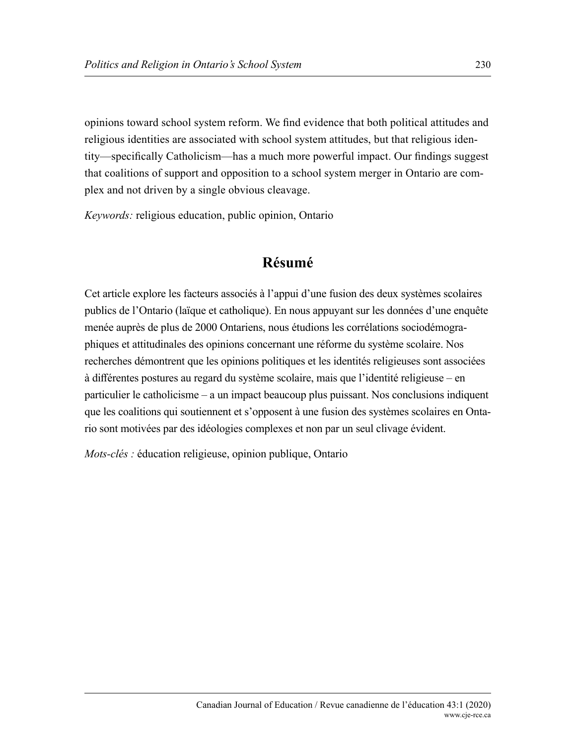opinions toward school system reform. We find evidence that both political attitudes and religious identities are associated with school system attitudes, but that religious identity—specifically Catholicism—has a much more powerful impact. Our findings suggest that coalitions of support and opposition to a school system merger in Ontario are complex and not driven by a single obvious cleavage.

*Keywords:* religious education, public opinion, Ontario

# **Résumé**

Cet article explore les facteurs associés à l'appui d'une fusion des deux systèmes scolaires publics de l'Ontario (laïque et catholique). En nous appuyant sur les données d'une enquête menée auprès de plus de 2000 Ontariens, nous étudions les corrélations sociodémographiques et attitudinales des opinions concernant une réforme du système scolaire. Nos recherches démontrent que les opinions politiques et les identités religieuses sont associées à différentes postures au regard du système scolaire, mais que l'identité religieuse – en particulier le catholicisme – a un impact beaucoup plus puissant. Nos conclusions indiquent que les coalitions qui soutiennent et s'opposent à une fusion des systèmes scolaires en Ontario sont motivées par des idéologies complexes et non par un seul clivage évident.

*Mots-clés :* éducation religieuse, opinion publique, Ontario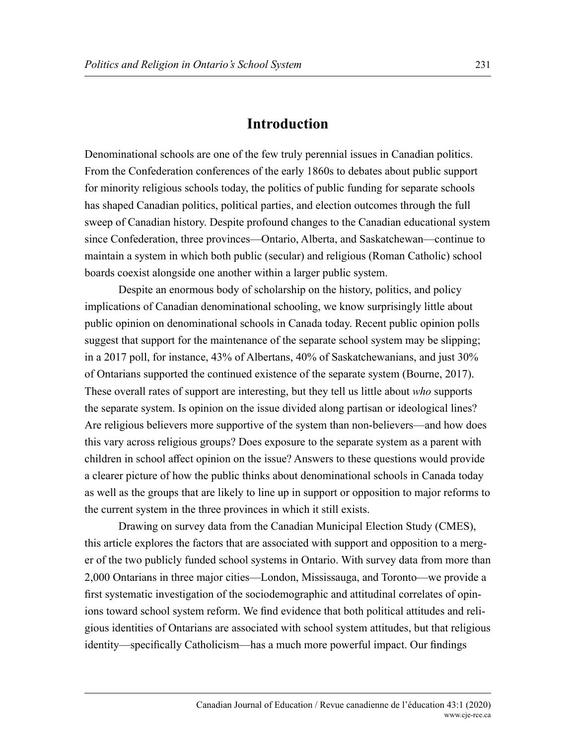#### **Introduction**

Denominational schools are one of the few truly perennial issues in Canadian politics. From the Confederation conferences of the early 1860s to debates about public support for minority religious schools today, the politics of public funding for separate schools has shaped Canadian politics, political parties, and election outcomes through the full sweep of Canadian history. Despite profound changes to the Canadian educational system since Confederation, three provinces—Ontario, Alberta, and Saskatchewan—continue to maintain a system in which both public (secular) and religious (Roman Catholic) school boards coexist alongside one another within a larger public system.

Despite an enormous body of scholarship on the history, politics, and policy implications of Canadian denominational schooling, we know surprisingly little about public opinion on denominational schools in Canada today. Recent public opinion polls suggest that support for the maintenance of the separate school system may be slipping; in a 2017 poll, for instance, 43% of Albertans, 40% of Saskatchewanians, and just 30% of Ontarians supported the continued existence of the separate system (Bourne, 2017). These overall rates of support are interesting, but they tell us little about *who* supports the separate system. Is opinion on the issue divided along partisan or ideological lines? Are religious believers more supportive of the system than non-believers—and how does this vary across religious groups? Does exposure to the separate system as a parent with children in school affect opinion on the issue? Answers to these questions would provide a clearer picture of how the public thinks about denominational schools in Canada today as well as the groups that are likely to line up in support or opposition to major reforms to the current system in the three provinces in which it still exists.

Drawing on survey data from the Canadian Municipal Election Study (CMES), this article explores the factors that are associated with support and opposition to a merger of the two publicly funded school systems in Ontario. With survey data from more than 2,000 Ontarians in three major cities—London, Mississauga, and Toronto—we provide a first systematic investigation of the sociodemographic and attitudinal correlates of opinions toward school system reform. We find evidence that both political attitudes and religious identities of Ontarians are associated with school system attitudes, but that religious identity—specifically Catholicism—has a much more powerful impact. Our findings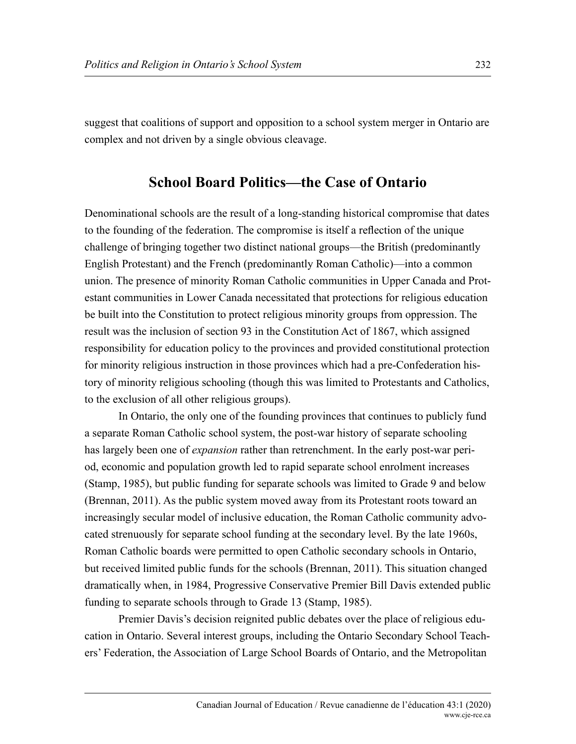suggest that coalitions of support and opposition to a school system merger in Ontario are complex and not driven by a single obvious cleavage.

## **School Board Politics—the Case of Ontario**

Denominational schools are the result of a long-standing historical compromise that dates to the founding of the federation. The compromise is itself a reflection of the unique challenge of bringing together two distinct national groups—the British (predominantly English Protestant) and the French (predominantly Roman Catholic)—into a common union. The presence of minority Roman Catholic communities in Upper Canada and Protestant communities in Lower Canada necessitated that protections for religious education be built into the Constitution to protect religious minority groups from oppression. The result was the inclusion of section 93 in the Constitution Act of 1867, which assigned responsibility for education policy to the provinces and provided constitutional protection for minority religious instruction in those provinces which had a pre-Confederation history of minority religious schooling (though this was limited to Protestants and Catholics, to the exclusion of all other religious groups).

In Ontario, the only one of the founding provinces that continues to publicly fund a separate Roman Catholic school system, the post-war history of separate schooling has largely been one of *expansion* rather than retrenchment. In the early post-war period, economic and population growth led to rapid separate school enrolment increases (Stamp, 1985), but public funding for separate schools was limited to Grade 9 and below (Brennan, 2011). As the public system moved away from its Protestant roots toward an increasingly secular model of inclusive education, the Roman Catholic community advocated strenuously for separate school funding at the secondary level. By the late 1960s, Roman Catholic boards were permitted to open Catholic secondary schools in Ontario, but received limited public funds for the schools (Brennan, 2011). This situation changed dramatically when, in 1984, Progressive Conservative Premier Bill Davis extended public funding to separate schools through to Grade 13 (Stamp, 1985).

Premier Davis's decision reignited public debates over the place of religious education in Ontario. Several interest groups, including the Ontario Secondary School Teachers' Federation, the Association of Large School Boards of Ontario, and the Metropolitan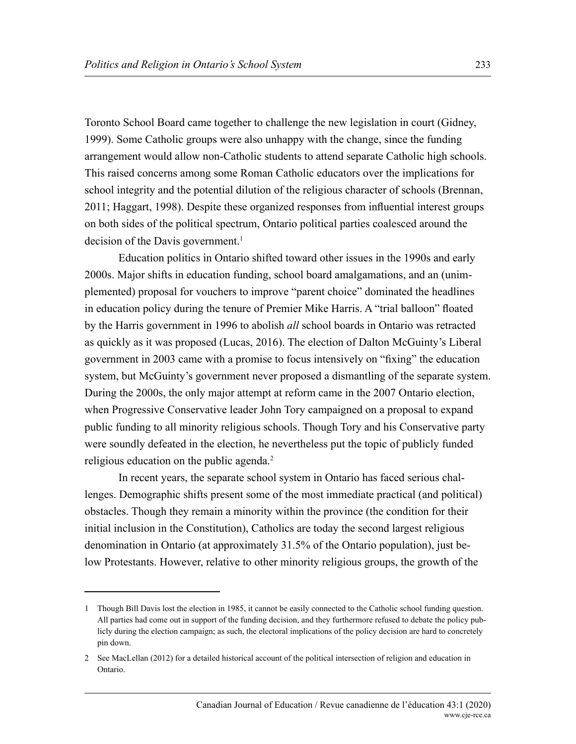Toronto School Board came together to challenge the new legislation in court (Gidney, 1999). Some Catholic groups were also unhappy with the change, since the funding arrangement would allow non-Catholic students to attend separate Catholic high schools. This raised concerns among some Roman Catholic educators over the implications for school integrity and the potential dilution of the religious character of schools (Brennan, 2011; Haggart, 1998). Despite these organized responses from influential interest groups on both sides of the political spectrum, Ontario political parties coalesced around the decision of the Davis government.<sup>1</sup>

Education politics in Ontario shifted toward other issues in the 1990s and early 2000s. Major shifts in education funding, school board amalgamations, and an (unimplemented) proposal for vouchers to improve "parent choice" dominated the headlines in education policy during the tenure of Premier Mike Harris. A "trial balloon" floated by the Harris government in 1996 to abolish *all* school boards in Ontario was retracted as quickly as it was proposed (Lucas, 2016). The election of Dalton McGuinty's Liberal government in 2003 came with a promise to focus intensively on "fixing" the education system, but McGuinty's government never proposed a dismantling of the separate system. During the 2000s, the only major attempt at reform came in the 2007 Ontario election, when Progressive Conservative leader John Tory campaigned on a proposal to expand public funding to all minority religious schools. Though Tory and his Conservative party were soundly defeated in the election, he nevertheless put the topic of publicly funded religious education on the public agenda.<sup>2</sup>

In recent years, the separate school system in Ontario has faced serious challenges. Demographic shifts present some of the most immediate practical (and political) obstacles. Though they remain a minority within the province (the condition for their initial inclusion in the Constitution), Catholics are today the second largest religious denomination in Ontario (at approximately 31.5% of the Ontario population), just below Protestants. However, relative to other minority religious groups, the growth of the

<sup>1</sup> Though Bill Davis lost the election in 1985, it cannot be easily connected to the Catholic school funding question. All parties had come out in support of the funding decision, and they furthermore refused to debate the policy publicly during the election campaign; as such, the electoral implications of the policy decision are hard to concretely pin down.

<sup>2</sup> See MacLellan (2012) for a detailed historical account of the political intersection of religion and education in Ontario.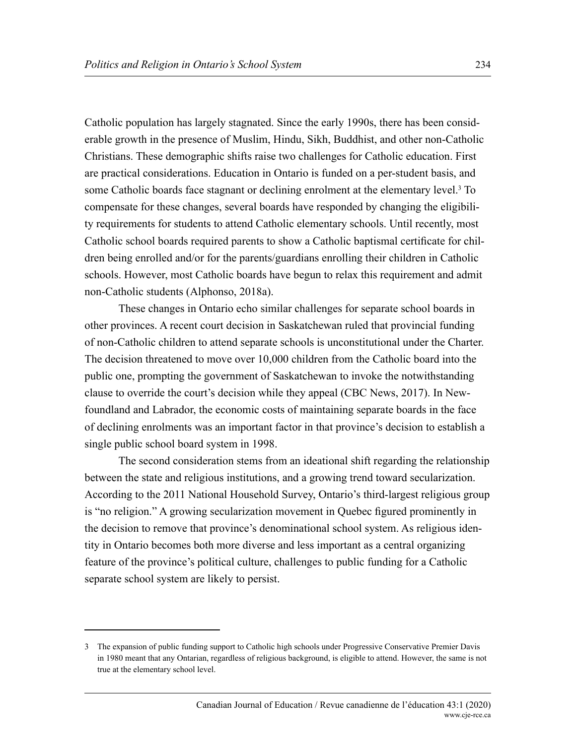Catholic population has largely stagnated. Since the early 1990s, there has been considerable growth in the presence of Muslim, Hindu, Sikh, Buddhist, and other non-Catholic Christians. These demographic shifts raise two challenges for Catholic education. First are practical considerations. Education in Ontario is funded on a per-student basis, and some Catholic boards face stagnant or declining enrolment at the elementary level.<sup>3</sup> To compensate for these changes, several boards have responded by changing the eligibility requirements for students to attend Catholic elementary schools. Until recently, most Catholic school boards required parents to show a Catholic baptismal certificate for children being enrolled and/or for the parents/guardians enrolling their children in Catholic schools. However, most Catholic boards have begun to relax this requirement and admit non-Catholic students (Alphonso, 2018a).

These changes in Ontario echo similar challenges for separate school boards in other provinces. A recent court decision in Saskatchewan ruled that provincial funding of non-Catholic children to attend separate schools is unconstitutional under the Charter. The decision threatened to move over 10,000 children from the Catholic board into the public one, prompting the government of Saskatchewan to invoke the notwithstanding clause to override the court's decision while they appeal (CBC News, 2017). In Newfoundland and Labrador, the economic costs of maintaining separate boards in the face of declining enrolments was an important factor in that province's decision to establish a single public school board system in 1998.

The second consideration stems from an ideational shift regarding the relationship between the state and religious institutions, and a growing trend toward secularization. According to the 2011 National Household Survey, Ontario's third-largest religious group is "no religion." A growing secularization movement in Quebec figured prominently in the decision to remove that province's denominational school system. As religious identity in Ontario becomes both more diverse and less important as a central organizing feature of the province's political culture, challenges to public funding for a Catholic separate school system are likely to persist.

<sup>3</sup> The expansion of public funding support to Catholic high schools under Progressive Conservative Premier Davis in 1980 meant that any Ontarian, regardless of religious background, is eligible to attend. However, the same is not true at the elementary school level.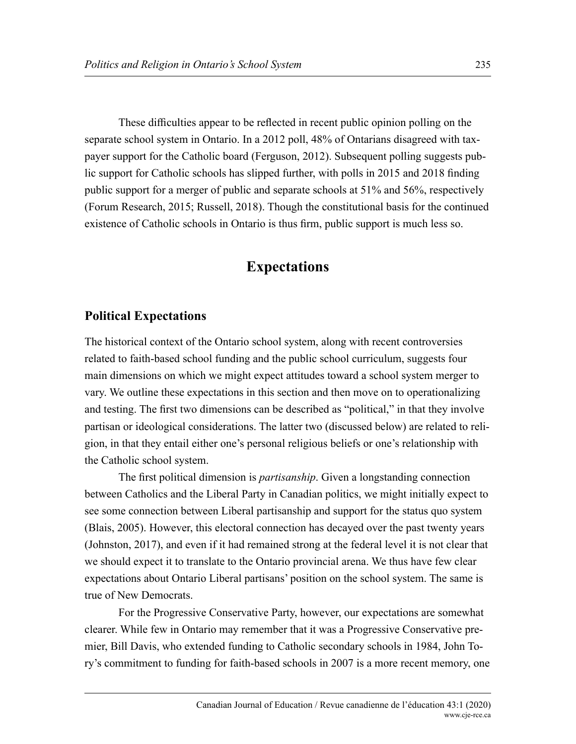These difficulties appear to be reflected in recent public opinion polling on the separate school system in Ontario. In a 2012 poll, 48% of Ontarians disagreed with taxpayer support for the Catholic board (Ferguson, 2012). Subsequent polling suggests public support for Catholic schools has slipped further, with polls in 2015 and 2018 finding public support for a merger of public and separate schools at 51% and 56%, respectively (Forum Research, 2015; Russell, 2018). Though the constitutional basis for the continued existence of Catholic schools in Ontario is thus firm, public support is much less so.

# **Expectations**

#### **Political Expectations**

The historical context of the Ontario school system, along with recent controversies related to faith-based school funding and the public school curriculum, suggests four main dimensions on which we might expect attitudes toward a school system merger to vary. We outline these expectations in this section and then move on to operationalizing and testing. The first two dimensions can be described as "political," in that they involve partisan or ideological considerations. The latter two (discussed below) are related to religion, in that they entail either one's personal religious beliefs or one's relationship with the Catholic school system.

The first political dimension is *partisanship*. Given a longstanding connection between Catholics and the Liberal Party in Canadian politics, we might initially expect to see some connection between Liberal partisanship and support for the status quo system (Blais, 2005). However, this electoral connection has decayed over the past twenty years (Johnston, 2017), and even if it had remained strong at the federal level it is not clear that we should expect it to translate to the Ontario provincial arena. We thus have few clear expectations about Ontario Liberal partisans' position on the school system. The same is true of New Democrats.

For the Progressive Conservative Party, however, our expectations are somewhat clearer. While few in Ontario may remember that it was a Progressive Conservative premier, Bill Davis, who extended funding to Catholic secondary schools in 1984, John Tory's commitment to funding for faith-based schools in 2007 is a more recent memory, one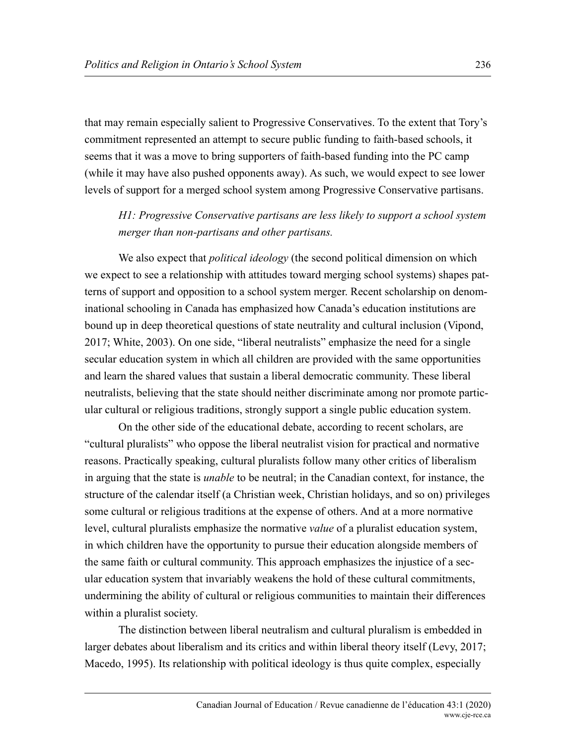that may remain especially salient to Progressive Conservatives. To the extent that Tory's commitment represented an attempt to secure public funding to faith-based schools, it seems that it was a move to bring supporters of faith-based funding into the PC camp (while it may have also pushed opponents away). As such, we would expect to see lower levels of support for a merged school system among Progressive Conservative partisans.

*H1: Progressive Conservative partisans are less likely to support a school system merger than non-partisans and other partisans.* 

We also expect that *political ideology* (the second political dimension on which we expect to see a relationship with attitudes toward merging school systems) shapes patterns of support and opposition to a school system merger. Recent scholarship on denominational schooling in Canada has emphasized how Canada's education institutions are bound up in deep theoretical questions of state neutrality and cultural inclusion (Vipond, 2017; White, 2003). On one side, "liberal neutralists" emphasize the need for a single secular education system in which all children are provided with the same opportunities and learn the shared values that sustain a liberal democratic community. These liberal neutralists, believing that the state should neither discriminate among nor promote particular cultural or religious traditions, strongly support a single public education system.

On the other side of the educational debate, according to recent scholars, are "cultural pluralists" who oppose the liberal neutralist vision for practical and normative reasons. Practically speaking, cultural pluralists follow many other critics of liberalism in arguing that the state is *unable* to be neutral; in the Canadian context, for instance, the structure of the calendar itself (a Christian week, Christian holidays, and so on) privileges some cultural or religious traditions at the expense of others. And at a more normative level, cultural pluralists emphasize the normative *value* of a pluralist education system, in which children have the opportunity to pursue their education alongside members of the same faith or cultural community. This approach emphasizes the injustice of a secular education system that invariably weakens the hold of these cultural commitments, undermining the ability of cultural or religious communities to maintain their differences within a pluralist society.

The distinction between liberal neutralism and cultural pluralism is embedded in larger debates about liberalism and its critics and within liberal theory itself (Levy, 2017; Macedo, 1995). Its relationship with political ideology is thus quite complex, especially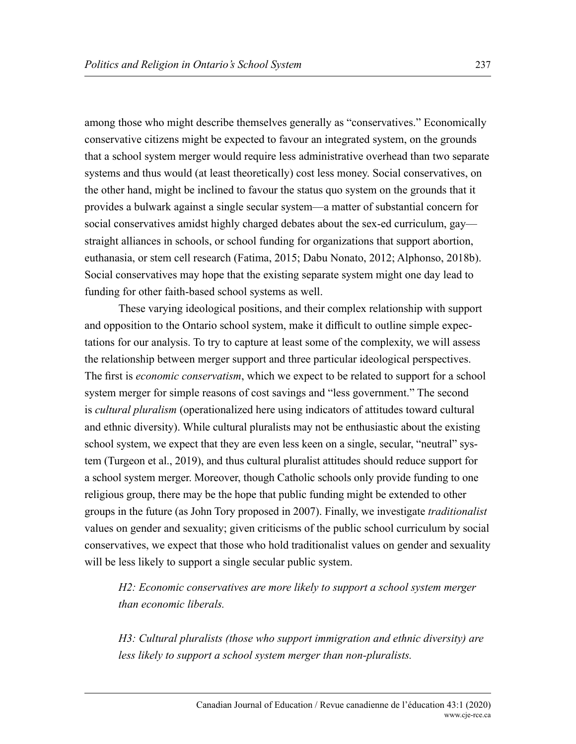among those who might describe themselves generally as "conservatives." Economically conservative citizens might be expected to favour an integrated system, on the grounds that a school system merger would require less administrative overhead than two separate systems and thus would (at least theoretically) cost less money. Social conservatives, on the other hand, might be inclined to favour the status quo system on the grounds that it provides a bulwark against a single secular system—a matter of substantial concern for social conservatives amidst highly charged debates about the sex-ed curriculum, gay straight alliances in schools, or school funding for organizations that support abortion, euthanasia, or stem cell research (Fatima, 2015; Dabu Nonato, 2012; Alphonso, 2018b). Social conservatives may hope that the existing separate system might one day lead to funding for other faith-based school systems as well.

These varying ideological positions, and their complex relationship with support and opposition to the Ontario school system, make it difficult to outline simple expectations for our analysis. To try to capture at least some of the complexity, we will assess the relationship between merger support and three particular ideological perspectives. The first is *economic conservatism*, which we expect to be related to support for a school system merger for simple reasons of cost savings and "less government." The second is *cultural pluralism* (operationalized here using indicators of attitudes toward cultural and ethnic diversity). While cultural pluralists may not be enthusiastic about the existing school system, we expect that they are even less keen on a single, secular, "neutral" system (Turgeon et al., 2019), and thus cultural pluralist attitudes should reduce support for a school system merger. Moreover, though Catholic schools only provide funding to one religious group, there may be the hope that public funding might be extended to other groups in the future (as John Tory proposed in 2007). Finally, we investigate *traditionalist*  values on gender and sexuality; given criticisms of the public school curriculum by social conservatives, we expect that those who hold traditionalist values on gender and sexuality will be less likely to support a single secular public system.

*H2: Economic conservatives are more likely to support a school system merger than economic liberals.* 

*H3: Cultural pluralists (those who support immigration and ethnic diversity) are less likely to support a school system merger than non-pluralists.*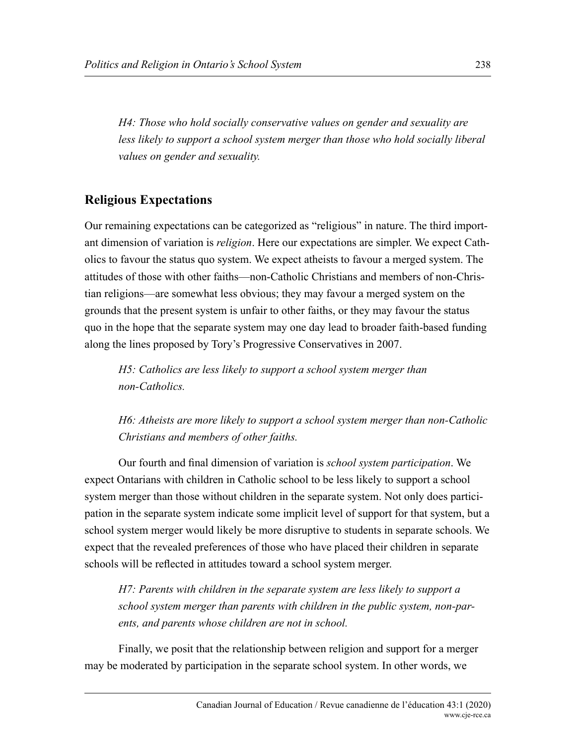*H4: Those who hold socially conservative values on gender and sexuality are*  less likely to support a school system merger than those who hold socially liberal *values on gender and sexuality.* 

### **Religious Expectations**

Our remaining expectations can be categorized as "religious" in nature. The third important dimension of variation is *religion*. Here our expectations are simpler. We expect Catholics to favour the status quo system. We expect atheists to favour a merged system. The attitudes of those with other faiths—non-Catholic Christians and members of non-Christian religions—are somewhat less obvious; they may favour a merged system on the grounds that the present system is unfair to other faiths, or they may favour the status quo in the hope that the separate system may one day lead to broader faith-based funding along the lines proposed by Tory's Progressive Conservatives in 2007.

*H5: Catholics are less likely to support a school system merger than non-Catholics.* 

*H6: Atheists are more likely to support a school system merger than non-Catholic Christians and members of other faiths.* 

Our fourth and final dimension of variation is *school system participation*. We expect Ontarians with children in Catholic school to be less likely to support a school system merger than those without children in the separate system. Not only does participation in the separate system indicate some implicit level of support for that system, but a school system merger would likely be more disruptive to students in separate schools. We expect that the revealed preferences of those who have placed their children in separate schools will be reflected in attitudes toward a school system merger.

*H7: Parents with children in the separate system are less likely to support a school system merger than parents with children in the public system, non-parents, and parents whose children are not in school.* 

Finally, we posit that the relationship between religion and support for a merger may be moderated by participation in the separate school system. In other words, we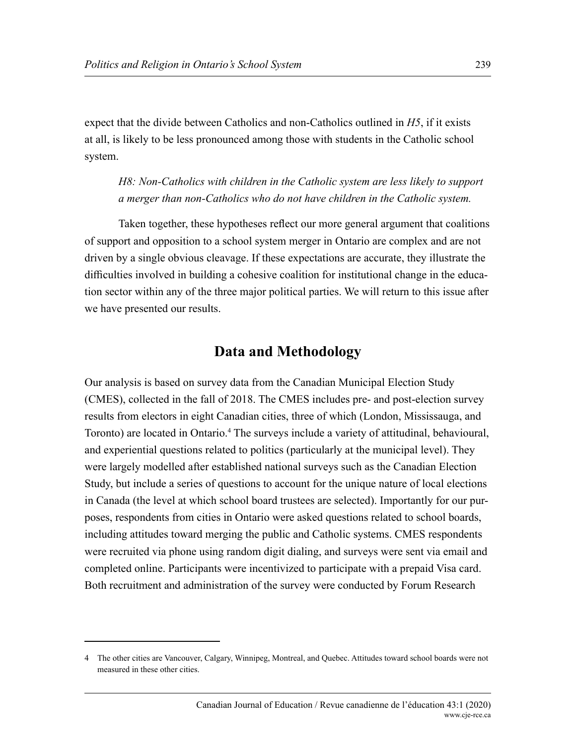expect that the divide between Catholics and non-Catholics outlined in *H5*, if it exists at all, is likely to be less pronounced among those with students in the Catholic school system.

*H8: Non-Catholics with children in the Catholic system are less likely to support a merger than non-Catholics who do not have children in the Catholic system.*

Taken together, these hypotheses reflect our more general argument that coalitions of support and opposition to a school system merger in Ontario are complex and are not driven by a single obvious cleavage. If these expectations are accurate, they illustrate the difficulties involved in building a cohesive coalition for institutional change in the education sector within any of the three major political parties. We will return to this issue after we have presented our results.

## **Data and Methodology**

Our analysis is based on survey data from the Canadian Municipal Election Study (CMES), collected in the fall of 2018. The CMES includes pre- and post-election survey results from electors in eight Canadian cities, three of which (London, Mississauga, and Toronto) are located in Ontario.<sup>4</sup> The surveys include a variety of attitudinal, behavioural, and experiential questions related to politics (particularly at the municipal level). They were largely modelled after established national surveys such as the Canadian Election Study, but include a series of questions to account for the unique nature of local elections in Canada (the level at which school board trustees are selected). Importantly for our purposes, respondents from cities in Ontario were asked questions related to school boards, including attitudes toward merging the public and Catholic systems. CMES respondents were recruited via phone using random digit dialing, and surveys were sent via email and completed online. Participants were incentivized to participate with a prepaid Visa card. Both recruitment and administration of the survey were conducted by Forum Research

<sup>4</sup> The other cities are Vancouver, Calgary, Winnipeg, Montreal, and Quebec. Attitudes toward school boards were not measured in these other cities.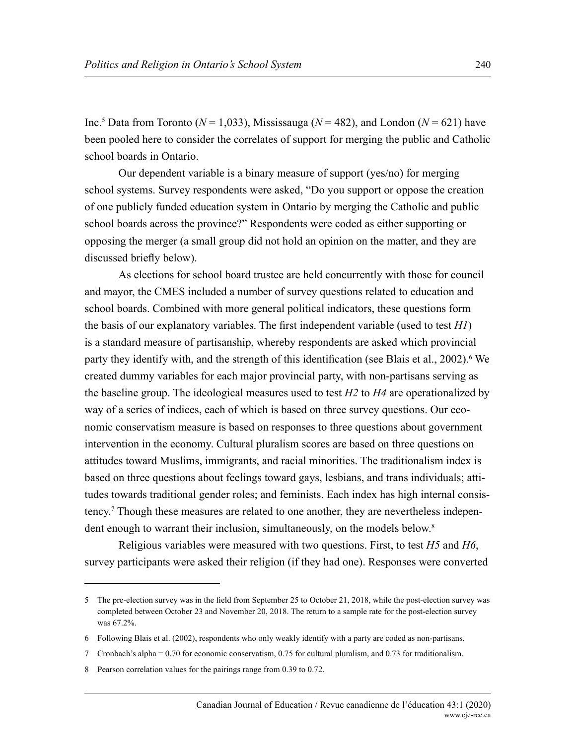Inc.5 Data from Toronto (*N* = 1,033), Mississauga (*N* = 482), and London (*N* = 621) have been pooled here to consider the correlates of support for merging the public and Catholic school boards in Ontario.

Our dependent variable is a binary measure of support (yes/no) for merging school systems. Survey respondents were asked, "Do you support or oppose the creation of one publicly funded education system in Ontario by merging the Catholic and public school boards across the province?" Respondents were coded as either supporting or opposing the merger (a small group did not hold an opinion on the matter, and they are discussed briefly below).

As elections for school board trustee are held concurrently with those for council and mayor, the CMES included a number of survey questions related to education and school boards. Combined with more general political indicators, these questions form the basis of our explanatory variables. The first independent variable (used to test *H1*) is a standard measure of partisanship, whereby respondents are asked which provincial party they identify with, and the strength of this identification (see Blais et al., 2002).<sup>6</sup> We created dummy variables for each major provincial party, with non-partisans serving as the baseline group. The ideological measures used to test *H2* to *H4* are operationalized by way of a series of indices, each of which is based on three survey questions. Our economic conservatism measure is based on responses to three questions about government intervention in the economy. Cultural pluralism scores are based on three questions on attitudes toward Muslims, immigrants, and racial minorities. The traditionalism index is based on three questions about feelings toward gays, lesbians, and trans individuals; attitudes towards traditional gender roles; and feminists. Each index has high internal consistency.7 Though these measures are related to one another, they are nevertheless independent enough to warrant their inclusion, simultaneously, on the models below.<sup>8</sup>

Religious variables were measured with two questions. First, to test *H5* and *H6*, survey participants were asked their religion (if they had one). Responses were converted

<sup>5</sup> The pre-election survey was in the field from September 25 to October 21, 2018, while the post-election survey was completed between October 23 and November 20, 2018. The return to a sample rate for the post-election survey was 67.2%.

<sup>6</sup> Following Blais et al. (2002), respondents who only weakly identify with a party are coded as non-partisans.

<sup>7</sup> Cronbach's alpha = 0.70 for economic conservatism, 0.75 for cultural pluralism, and 0.73 for traditionalism.

<sup>8</sup> Pearson correlation values for the pairings range from 0.39 to 0.72.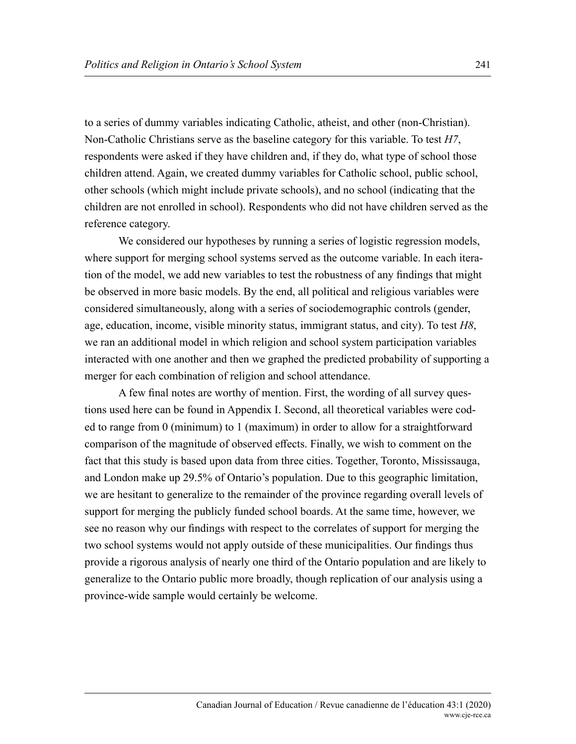to a series of dummy variables indicating Catholic, atheist, and other (non-Christian). Non-Catholic Christians serve as the baseline category for this variable. To test *H7*, respondents were asked if they have children and, if they do, what type of school those children attend. Again, we created dummy variables for Catholic school, public school, other schools (which might include private schools), and no school (indicating that the children are not enrolled in school). Respondents who did not have children served as the reference category.

We considered our hypotheses by running a series of logistic regression models, where support for merging school systems served as the outcome variable. In each iteration of the model, we add new variables to test the robustness of any findings that might be observed in more basic models. By the end, all political and religious variables were considered simultaneously, along with a series of sociodemographic controls (gender, age, education, income, visible minority status, immigrant status, and city). To test *H8*, we ran an additional model in which religion and school system participation variables interacted with one another and then we graphed the predicted probability of supporting a merger for each combination of religion and school attendance.

A few final notes are worthy of mention. First, the wording of all survey questions used here can be found in Appendix I. Second, all theoretical variables were coded to range from 0 (minimum) to 1 (maximum) in order to allow for a straightforward comparison of the magnitude of observed effects. Finally, we wish to comment on the fact that this study is based upon data from three cities. Together, Toronto, Mississauga, and London make up 29.5% of Ontario's population. Due to this geographic limitation, we are hesitant to generalize to the remainder of the province regarding overall levels of support for merging the publicly funded school boards. At the same time, however, we see no reason why our findings with respect to the correlates of support for merging the two school systems would not apply outside of these municipalities. Our findings thus provide a rigorous analysis of nearly one third of the Ontario population and are likely to generalize to the Ontario public more broadly, though replication of our analysis using a province-wide sample would certainly be welcome.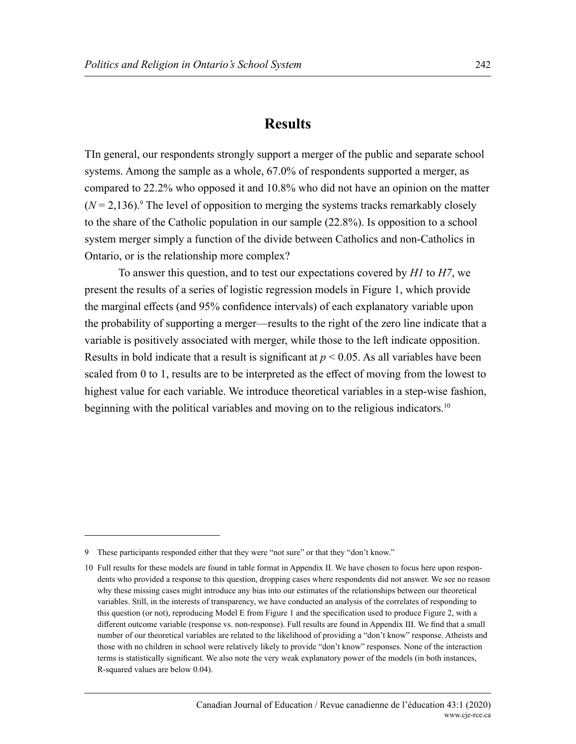## **Results**

TIn general, our respondents strongly support a merger of the public and separate school systems. Among the sample as a whole, 67.0% of respondents supported a merger, as compared to 22.2% who opposed it and 10.8% who did not have an opinion on the matter  $(N = 2,136)$ .<sup>9</sup> The level of opposition to merging the systems tracks remarkably closely to the share of the Catholic population in our sample (22.8%). Is opposition to a school system merger simply a function of the divide between Catholics and non-Catholics in Ontario, or is the relationship more complex?

To answer this question, and to test our expectations covered by *H1* to *H7*, we present the results of a series of logistic regression models in Figure 1, which provide the marginal effects (and 95% confidence intervals) of each explanatory variable upon the probability of supporting a merger—results to the right of the zero line indicate that a variable is positively associated with merger, while those to the left indicate opposition. Results in bold indicate that a result is significant at  $p < 0.05$ . As all variables have been scaled from 0 to 1, results are to be interpreted as the effect of moving from the lowest to highest value for each variable. We introduce theoretical variables in a step-wise fashion, beginning with the political variables and moving on to the religious indicators.<sup>10</sup>

<sup>9</sup> These participants responded either that they were "not sure" or that they "don't know."

<sup>10</sup> Full results for these models are found in table format in Appendix II. We have chosen to focus here upon respondents who provided a response to this question, dropping cases where respondents did not answer. We see no reason why these missing cases might introduce any bias into our estimates of the relationships between our theoretical variables. Still, in the interests of transparency, we have conducted an analysis of the correlates of responding to this question (or not), reproducing Model E from Figure 1 and the specification used to produce Figure 2, with a different outcome variable (response vs. non-response). Full results are found in Appendix III. We find that a small number of our theoretical variables are related to the likelihood of providing a "don't know" response. Atheists and those with no children in school were relatively likely to provide "don't know" responses. None of the interaction terms is statistically significant. We also note the very weak explanatory power of the models (in both instances, R-squared values are below 0.04).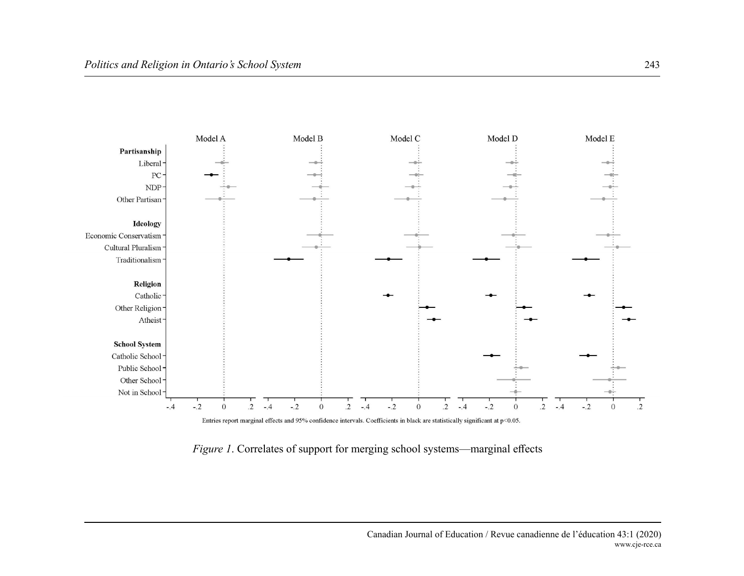

*Figure 1*. Correlates of support for merging school systems—marginal effects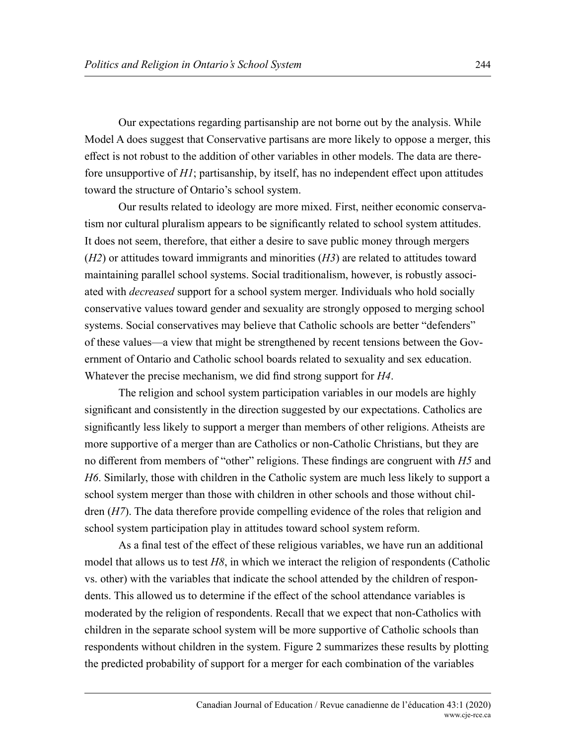Our expectations regarding partisanship are not borne out by the analysis. While Model A does suggest that Conservative partisans are more likely to oppose a merger, this effect is not robust to the addition of other variables in other models. The data are therefore unsupportive of *H1*; partisanship, by itself, has no independent effect upon attitudes toward the structure of Ontario's school system.

Our results related to ideology are more mixed. First, neither economic conservatism nor cultural pluralism appears to be significantly related to school system attitudes. It does not seem, therefore, that either a desire to save public money through mergers (*H2*) or attitudes toward immigrants and minorities (*H3*) are related to attitudes toward maintaining parallel school systems. Social traditionalism, however, is robustly associated with *decreased* support for a school system merger. Individuals who hold socially conservative values toward gender and sexuality are strongly opposed to merging school systems. Social conservatives may believe that Catholic schools are better "defenders" of these values—a view that might be strengthened by recent tensions between the Government of Ontario and Catholic school boards related to sexuality and sex education. Whatever the precise mechanism, we did find strong support for *H4*.

The religion and school system participation variables in our models are highly significant and consistently in the direction suggested by our expectations. Catholics are significantly less likely to support a merger than members of other religions. Atheists are more supportive of a merger than are Catholics or non-Catholic Christians, but they are no different from members of "other" religions. These findings are congruent with *H5* and *H6*. Similarly, those with children in the Catholic system are much less likely to support a school system merger than those with children in other schools and those without children (*H7*). The data therefore provide compelling evidence of the roles that religion and school system participation play in attitudes toward school system reform.

As a final test of the effect of these religious variables, we have run an additional model that allows us to test *H8*, in which we interact the religion of respondents (Catholic vs. other) with the variables that indicate the school attended by the children of respondents. This allowed us to determine if the effect of the school attendance variables is moderated by the religion of respondents. Recall that we expect that non-Catholics with children in the separate school system will be more supportive of Catholic schools than respondents without children in the system. Figure 2 summarizes these results by plotting the predicted probability of support for a merger for each combination of the variables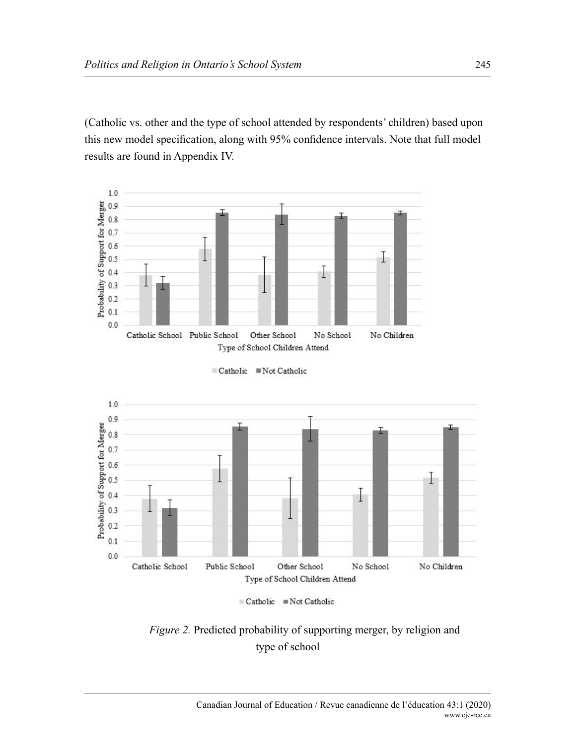(Catholic vs. other and the type of school attended by respondents' children) based upon this new model specification, along with 95% confidence intervals. Note that full model results are found in Appendix IV.



Catholic Not Catholic





*Figure 2.* Predicted probability of supporting merger, by religion and type of school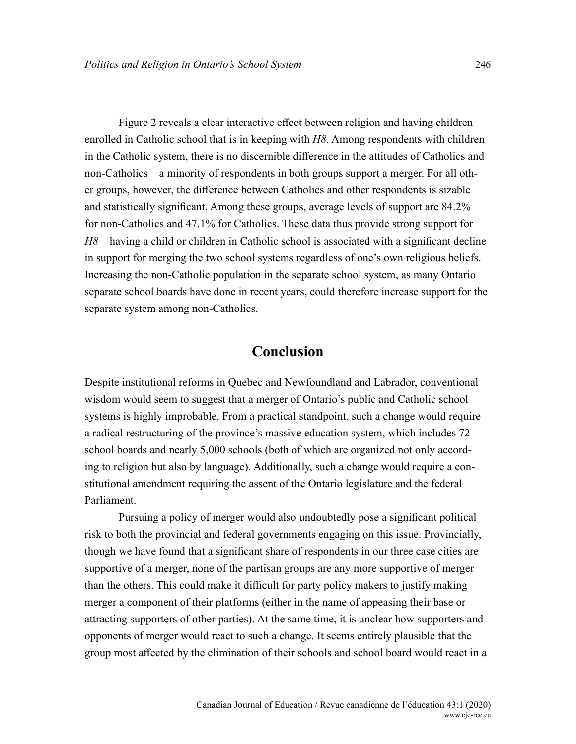Figure 2 reveals a clear interactive effect between religion and having children enrolled in Catholic school that is in keeping with *H8*. Among respondents with children in the Catholic system, there is no discernible difference in the attitudes of Catholics and non-Catholics—a minority of respondents in both groups support a merger. For all other groups, however, the difference between Catholics and other respondents is sizable and statistically significant. Among these groups, average levels of support are 84.2% for non-Catholics and 47.1% for Catholics. These data thus provide strong support for *H8*—having a child or children in Catholic school is associated with a significant decline in support for merging the two school systems regardless of one's own religious beliefs. Increasing the non-Catholic population in the separate school system, as many Ontario separate school boards have done in recent years, could therefore increase support for the separate system among non-Catholics.

## **Conclusion**

Despite institutional reforms in Quebec and Newfoundland and Labrador, conventional wisdom would seem to suggest that a merger of Ontario's public and Catholic school systems is highly improbable. From a practical standpoint, such a change would require a radical restructuring of the province's massive education system, which includes 72 school boards and nearly 5,000 schools (both of which are organized not only according to religion but also by language). Additionally, such a change would require a constitutional amendment requiring the assent of the Ontario legislature and the federal Parliament.

Pursuing a policy of merger would also undoubtedly pose a significant political risk to both the provincial and federal governments engaging on this issue. Provincially, though we have found that a significant share of respondents in our three case cities are supportive of a merger, none of the partisan groups are any more supportive of merger than the others. This could make it difficult for party policy makers to justify making merger a component of their platforms (either in the name of appeasing their base or attracting supporters of other parties). At the same time, it is unclear how supporters and opponents of merger would react to such a change. It seems entirely plausible that the group most affected by the elimination of their schools and school board would react in a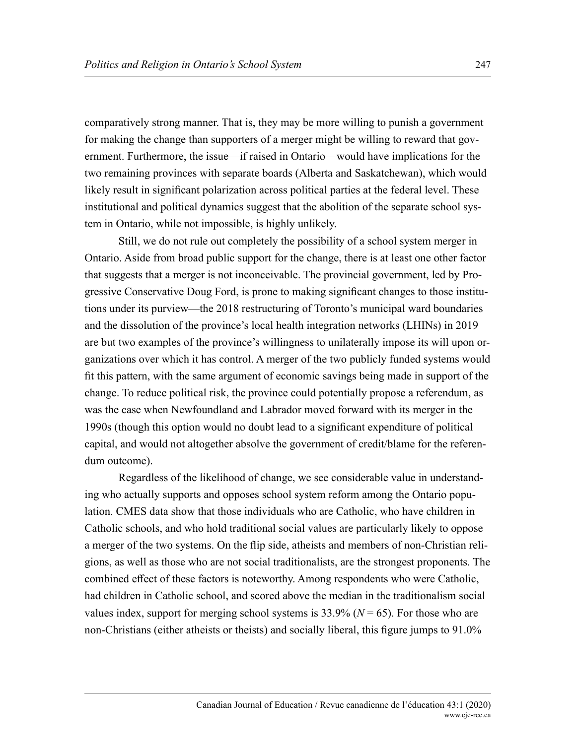comparatively strong manner. That is, they may be more willing to punish a government for making the change than supporters of a merger might be willing to reward that government. Furthermore, the issue—if raised in Ontario—would have implications for the two remaining provinces with separate boards (Alberta and Saskatchewan), which would likely result in significant polarization across political parties at the federal level. These institutional and political dynamics suggest that the abolition of the separate school system in Ontario, while not impossible, is highly unlikely.

Still, we do not rule out completely the possibility of a school system merger in Ontario. Aside from broad public support for the change, there is at least one other factor that suggests that a merger is not inconceivable. The provincial government, led by Progressive Conservative Doug Ford, is prone to making significant changes to those institutions under its purview—the 2018 restructuring of Toronto's municipal ward boundaries and the dissolution of the province's local health integration networks (LHINs) in 2019 are but two examples of the province's willingness to unilaterally impose its will upon organizations over which it has control. A merger of the two publicly funded systems would fit this pattern, with the same argument of economic savings being made in support of the change. To reduce political risk, the province could potentially propose a referendum, as was the case when Newfoundland and Labrador moved forward with its merger in the 1990s (though this option would no doubt lead to a significant expenditure of political capital, and would not altogether absolve the government of credit/blame for the referendum outcome).

Regardless of the likelihood of change, we see considerable value in understanding who actually supports and opposes school system reform among the Ontario population. CMES data show that those individuals who are Catholic, who have children in Catholic schools, and who hold traditional social values are particularly likely to oppose a merger of the two systems. On the flip side, atheists and members of non-Christian religions, as well as those who are not social traditionalists, are the strongest proponents. The combined effect of these factors is noteworthy. Among respondents who were Catholic, had children in Catholic school, and scored above the median in the traditionalism social values index, support for merging school systems is  $33.9\%$  ( $N = 65$ ). For those who are non-Christians (either atheists or theists) and socially liberal, this figure jumps to 91.0%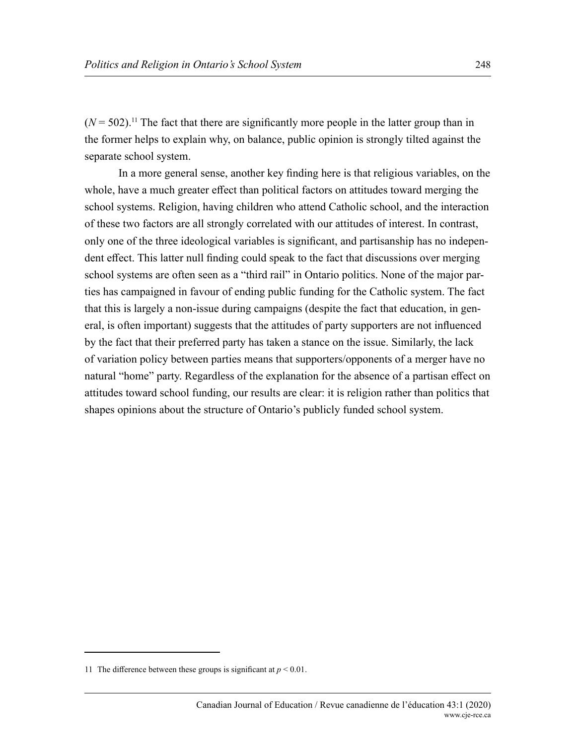$(N = 502)$ .<sup>11</sup> The fact that there are significantly more people in the latter group than in the former helps to explain why, on balance, public opinion is strongly tilted against the separate school system.

In a more general sense, another key finding here is that religious variables, on the whole, have a much greater effect than political factors on attitudes toward merging the school systems. Religion, having children who attend Catholic school, and the interaction of these two factors are all strongly correlated with our attitudes of interest. In contrast, only one of the three ideological variables is significant, and partisanship has no independent effect. This latter null finding could speak to the fact that discussions over merging school systems are often seen as a "third rail" in Ontario politics. None of the major parties has campaigned in favour of ending public funding for the Catholic system. The fact that this is largely a non-issue during campaigns (despite the fact that education, in general, is often important) suggests that the attitudes of party supporters are not influenced by the fact that their preferred party has taken a stance on the issue. Similarly, the lack of variation policy between parties means that supporters/opponents of a merger have no natural "home" party. Regardless of the explanation for the absence of a partisan effect on attitudes toward school funding, our results are clear: it is religion rather than politics that shapes opinions about the structure of Ontario's publicly funded school system.

<sup>11</sup> The difference between these groups is significant at  $p < 0.01$ .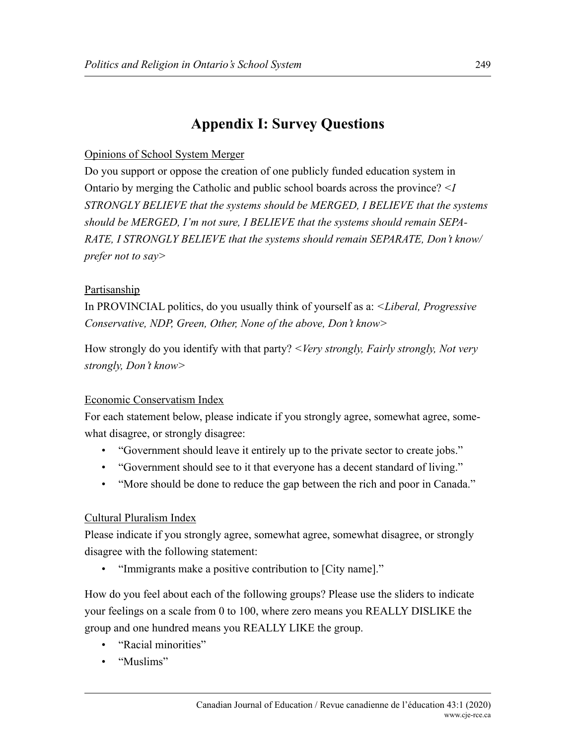# **Appendix I: Survey Questions**

#### Opinions of School System Merger

Do you support or oppose the creation of one publicly funded education system in Ontario by merging the Catholic and public school boards across the province? *<I STRONGLY BELIEVE that the systems should be MERGED, I BELIEVE that the systems should be MERGED, I'm not sure, I BELIEVE that the systems should remain SEPA-RATE, I STRONGLY BELIEVE that the systems should remain SEPARATE, Don't know/ prefer not to say>*

#### Partisanship

In PROVINCIAL politics, do you usually think of yourself as a: *<Liberal, Progressive Conservative, NDP, Green, Other, None of the above, Don't know>*

How strongly do you identify with that party? *<Very strongly, Fairly strongly, Not very strongly, Don't know>*

#### Economic Conservatism Index

For each statement below, please indicate if you strongly agree, somewhat agree, somewhat disagree, or strongly disagree:

- "Government should leave it entirely up to the private sector to create jobs."
- "Government should see to it that everyone has a decent standard of living."
- "More should be done to reduce the gap between the rich and poor in Canada."

#### Cultural Pluralism Index

Please indicate if you strongly agree, somewhat agree, somewhat disagree, or strongly disagree with the following statement:

• "Immigrants make a positive contribution to [City name]."

How do you feel about each of the following groups? Please use the sliders to indicate your feelings on a scale from 0 to 100, where zero means you REALLY DISLIKE the group and one hundred means you REALLY LIKE the group.

- "Racial minorities"
- "Muslims"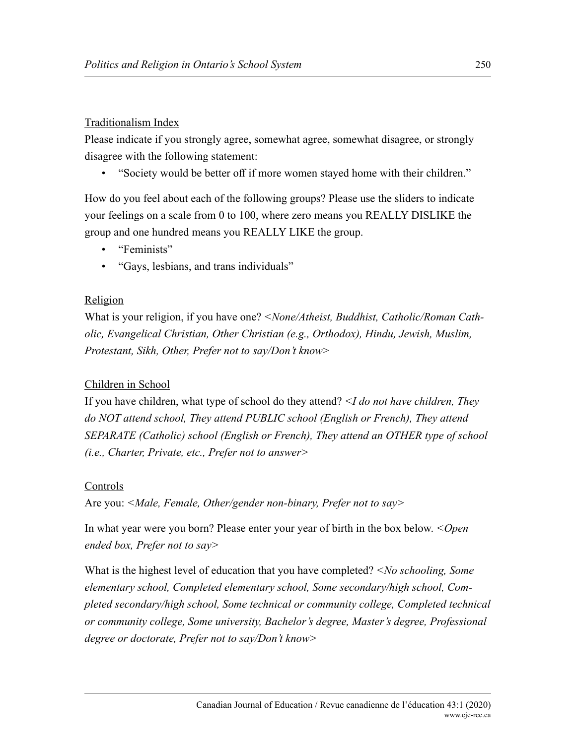#### Traditionalism Index

Please indicate if you strongly agree, somewhat agree, somewhat disagree, or strongly disagree with the following statement:

• "Society would be better off if more women stayed home with their children."

How do you feel about each of the following groups? Please use the sliders to indicate your feelings on a scale from 0 to 100, where zero means you REALLY DISLIKE the group and one hundred means you REALLY LIKE the group.

- "Feminists"
- "Gays, lesbians, and trans individuals"

#### Religion

What is your religion, if you have one? *<None/Atheist, Buddhist, Catholic/Roman Catholic, Evangelical Christian, Other Christian (e.g., Orthodox), Hindu, Jewish, Muslim, Protestant, Sikh, Other, Prefer not to say/Don't know*>

#### Children in School

If you have children, what type of school do they attend? *<I do not have children, They do NOT attend school, They attend PUBLIC school (English or French), They attend SEPARATE (Catholic) school (English or French), They attend an OTHER type of school (i.e., Charter, Private, etc., Prefer not to answer>*

#### Controls

Are you: *<Male, Female, Other/gender non-binary, Prefer not to say>*

In what year were you born? Please enter your year of birth in the box below. *<Open ended box, Prefer not to say>*

What is the highest level of education that you have completed? *<No schooling, Some elementary school, Completed elementary school, Some secondary/high school, Completed secondary/high school, Some technical or community college, Completed technical or community college, Some university, Bachelor's degree, Master's degree, Professional degree or doctorate, Prefer not to say/Don't know>*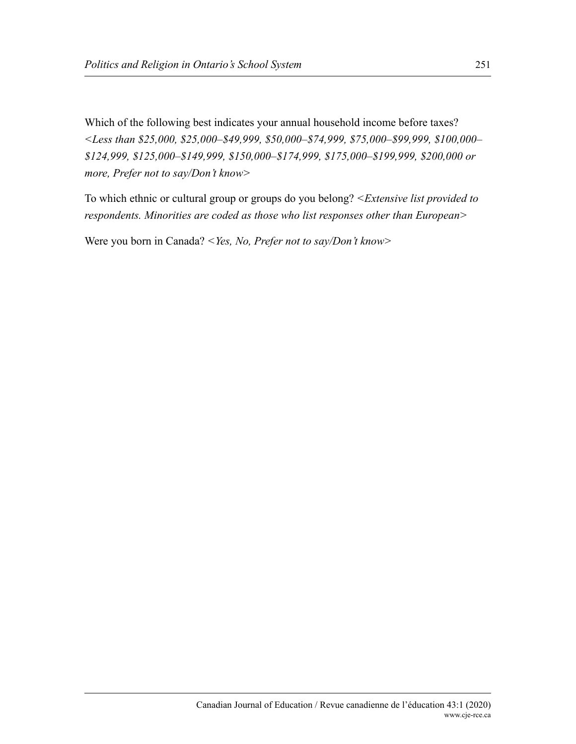Which of the following best indicates your annual household income before taxes? *<Less than \$25,000, \$25,000–\$49,999, \$50,000–\$74,999, \$75,000–\$99,999, \$100,000– \$124,999, \$125,000–\$149,999, \$150,000–\$174,999, \$175,000–\$199,999, \$200,000 or more, Prefer not to say/Don't know>*

To which ethnic or cultural group or groups do you belong? *<Extensive list provided to respondents. Minorities are coded as those who list responses other than European>*

Were you born in Canada? *<Yes, No, Prefer not to say/Don't know>*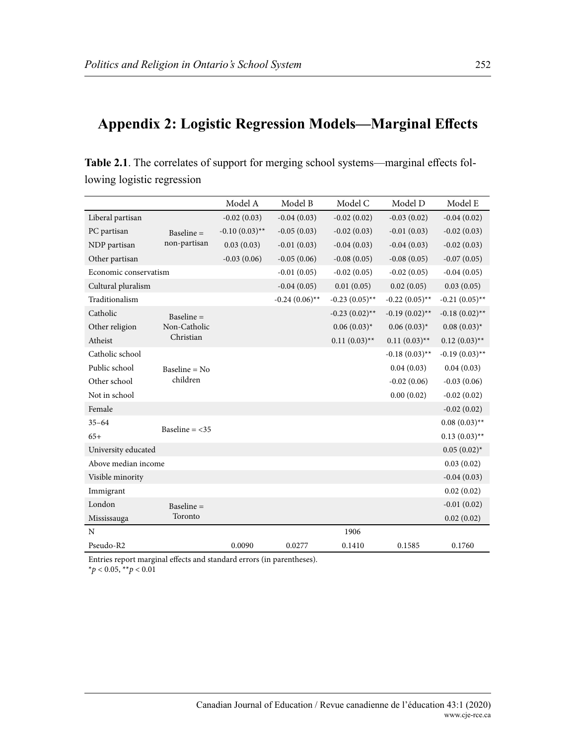# **Appendix 2: Logistic Regression Models—Marginal Effects**

| $\cdots$ $\cdots$     |                              |                  |                  |                  |                  |                  |
|-----------------------|------------------------------|------------------|------------------|------------------|------------------|------------------|
|                       |                              | Model A          | Model B          | Model C          | Model D          | Model E          |
| Liberal partisan      |                              | $-0.02(0.03)$    | $-0.04(0.03)$    | $-0.02(0.02)$    | $-0.03(0.02)$    | $-0.04(0.02)$    |
| PC partisan           | Baseline $=$<br>non-partisan | $-0.10(0.03)$ ** | $-0.05(0.03)$    | $-0.02(0.03)$    | $-0.01(0.03)$    | $-0.02(0.03)$    |
| NDP partisan          |                              | 0.03(0.03)       | $-0.01(0.03)$    | $-0.04(0.03)$    | $-0.04(0.03)$    | $-0.02(0.03)$    |
| Other partisan        |                              | $-0.03(0.06)$    | $-0.05(0.06)$    | $-0.08(0.05)$    | $-0.08(0.05)$    | $-0.07(0.05)$    |
| Economic conservatism |                              |                  | $-0.01(0.05)$    | $-0.02(0.05)$    | $-0.02(0.05)$    | $-0.04(0.05)$    |
| Cultural pluralism    |                              |                  | $-0.04(0.05)$    | 0.01(0.05)       | 0.02(0.05)       | 0.03(0.05)       |
| Traditionalism        |                              |                  | $-0.24(0.06)$ ** | $-0.23(0.05)$ ** | $-0.22(0.05)$ ** | $-0.21(0.05)$ ** |
| Catholic              | Baseline $=$<br>Non-Catholic |                  |                  | $-0.23(0.02)$ ** | $-0.19(0.02)$ ** | $-0.18(0.02)$ ** |
| Other religion        |                              |                  |                  | $0.06(0.03)^{*}$ | $0.06(0.03)^{*}$ | $0.08(0.03)^{*}$ |
| Atheist               | Christian                    |                  |                  | $0.11(0.03)$ **  | $0.11(0.03)$ **  | $0.12(0.03)$ **  |
| Catholic school       |                              |                  |                  |                  | $-0.18(0.03)$ ** | $-0.19(0.03)$ ** |
| Public school         | Baseline = $No$<br>children  |                  |                  |                  | 0.04(0.03)       | 0.04(0.03)       |
| Other school          |                              |                  |                  |                  | $-0.02(0.06)$    | $-0.03(0.06)$    |
| Not in school         |                              |                  |                  |                  | 0.00(0.02)       | $-0.02(0.02)$    |
| Female                |                              |                  |                  |                  |                  | $-0.02(0.02)$    |
| $35 - 64$             | Baseline = $<$ 35            |                  |                  |                  |                  | $0.08(0.03)$ **  |
| $65+$                 |                              |                  |                  |                  |                  | $0.13(0.03)$ **  |
| University educated   |                              |                  |                  |                  |                  | $0.05(0.02)^{*}$ |
| Above median income   |                              |                  |                  |                  |                  | 0.03(0.02)       |
| Visible minority      |                              |                  |                  |                  |                  | $-0.04(0.03)$    |
| Immigrant             |                              |                  |                  |                  |                  | 0.02(0.02)       |
| London                | Baseline =                   |                  |                  |                  |                  | $-0.01(0.02)$    |
| Mississauga           | Toronto                      |                  |                  |                  |                  | 0.02(0.02)       |
| N                     |                              |                  |                  | 1906             |                  |                  |

Pseudo-R2 0.0090 0.0277 0.1410 0.1585 0.1760

**Table 2.1**. The correlates of support for merging school systems—marginal effects following logistic regression

Entries report marginal effects and standard errors (in parentheses). \**p* < 0.05, \*\**p* < 0.01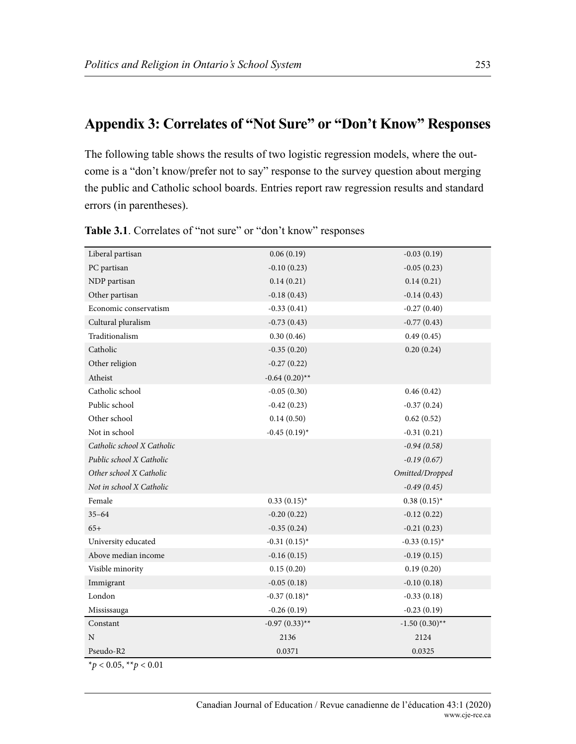# **Appendix 3: Correlates of "Not Sure" or "Don't Know" Responses**

The following table shows the results of two logistic regression models, where the outcome is a "don't know/prefer not to say" response to the survey question about merging the public and Catholic school boards. Entries report raw regression results and standard errors (in parentheses).

| Liberal partisan             | 0.06(0.19)        | $-0.03(0.19)$     |
|------------------------------|-------------------|-------------------|
| PC partisan                  | $-0.10(0.23)$     | $-0.05(0.23)$     |
| NDP partisan                 | 0.14(0.21)        | 0.14(0.21)        |
| Other partisan               | $-0.18(0.43)$     | $-0.14(0.43)$     |
| Economic conservatism        | $-0.33(0.41)$     | $-0.27(0.40)$     |
| Cultural pluralism           | $-0.73(0.43)$     | $-0.77(0.43)$     |
| Traditionalism               | 0.30(0.46)        | 0.49(0.45)        |
| Catholic                     | $-0.35(0.20)$     | 0.20(0.24)        |
| Other religion               | $-0.27(0.22)$     |                   |
| Atheist                      | $-0.64(0.20)$ **  |                   |
| Catholic school              | $-0.05(0.30)$     | 0.46(0.42)        |
| Public school                | $-0.42(0.23)$     | $-0.37(0.24)$     |
| Other school                 | 0.14(0.50)        | 0.62(0.52)        |
| Not in school                | $-0.45(0.19)^{*}$ | $-0.31(0.21)$     |
| Catholic school X Catholic   |                   | $-0.94(0.58)$     |
| Public school X Catholic     |                   | $-0.19(0.67)$     |
| Other school X Catholic      |                   | Omitted/Dropped   |
| Not in school X Catholic     |                   | $-0.49(0.45)$     |
| Female                       | $0.33(0.15)^{*}$  | $0.38(0.15)^{*}$  |
| $35 - 64$                    | $-0.20(0.22)$     | $-0.12(0.22)$     |
| $65+$                        | $-0.35(0.24)$     | $-0.21(0.23)$     |
| University educated          | $-0.31(0.15)^{*}$ | $-0.33(0.15)^{*}$ |
| Above median income          | $-0.16(0.15)$     | $-0.19(0.15)$     |
| Visible minority             | 0.15(0.20)        | 0.19(0.20)        |
| Immigrant                    | $-0.05(0.18)$     | $-0.10(0.18)$     |
| London                       | $-0.37(0.18)$ *   | $-0.33(0.18)$     |
| Mississauga                  | $-0.26(0.19)$     | $-0.23(0.19)$     |
| Constant                     | $-0.97(0.33)$ **  | $-1.50(0.30)$ **  |
| N                            | 2136              | 2124              |
| Pseudo-R2                    | 0.0371            | 0.0325            |
| * $p < 0.05$ , ** $p < 0.01$ |                   |                   |

Table 3.1. Correlates of "not sure" or "don't know" responses

Canadian Journal of Education / Revue canadienne de l'éducation 43:1 (2020) www.cje-rce.ca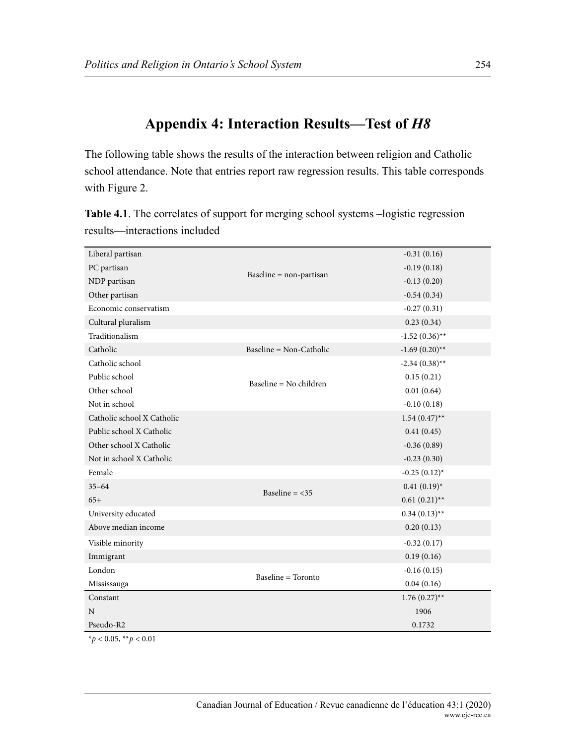# **Appendix 4: Interaction Results—Test of** *H8*

The following table shows the results of the interaction between religion and Catholic school attendance. Note that entries report raw regression results. This table corresponds with Figure 2.

| Liberal partisan           |                           | $-0.31(0.16)$     |
|----------------------------|---------------------------|-------------------|
| PC partisan                | Baseline = non-partisan   | $-0.19(0.18)$     |
| NDP partisan               |                           | $-0.13(0.20)$     |
| Other partisan             |                           | $-0.54(0.34)$     |
| Economic conservatism      |                           | $-0.27(0.31)$     |
| Cultural pluralism         |                           | 0.23(0.34)        |
| Traditionalism             |                           | $-1.52(0.36)$ **  |
| Catholic                   | Baseline = $Non-Catholic$ | $-1.69(0.20)$ **  |
| Catholic school            |                           | $-2.34(0.38)$ **  |
| Public school              |                           | 0.15(0.21)        |
| Other school               | Baseline = No children    | 0.01(0.64)        |
| Not in school              |                           | $-0.10(0.18)$     |
| Catholic school X Catholic |                           | $1.54(0.47)$ **   |
| Public school X Catholic   |                           | 0.41(0.45)        |
| Other school X Catholic    |                           | $-0.36(0.89)$     |
| Not in school X Catholic   |                           | $-0.23(0.30)$     |
| Female                     |                           | $-0.25(0.12)^{*}$ |
| $35 - 64$                  |                           | $0.41(0.19)^{*}$  |
| $65+$                      | Baseline = $<$ 35         | $0.61(0.21)$ **   |
| University educated        |                           | $0.34(0.13)$ **   |
| Above median income        |                           | 0.20(0.13)        |
| Visible minority           |                           | $-0.32(0.17)$     |
| Immigrant                  |                           | 0.19(0.16)        |
| London                     |                           | $-0.16(0.15)$     |
| Mississauga                | <b>Baseline = Toronto</b> | 0.04(0.16)        |
| Constant                   |                           | $1.76(0.27)$ **   |
| N                          |                           | 1906              |
| Pseudo-R2                  |                           | 0.1732            |
|                            |                           |                   |

**Table 4.1**. The correlates of support for merging school systems –logistic regression results—interactions included

\**p* < 0.05, \*\**p* < 0.01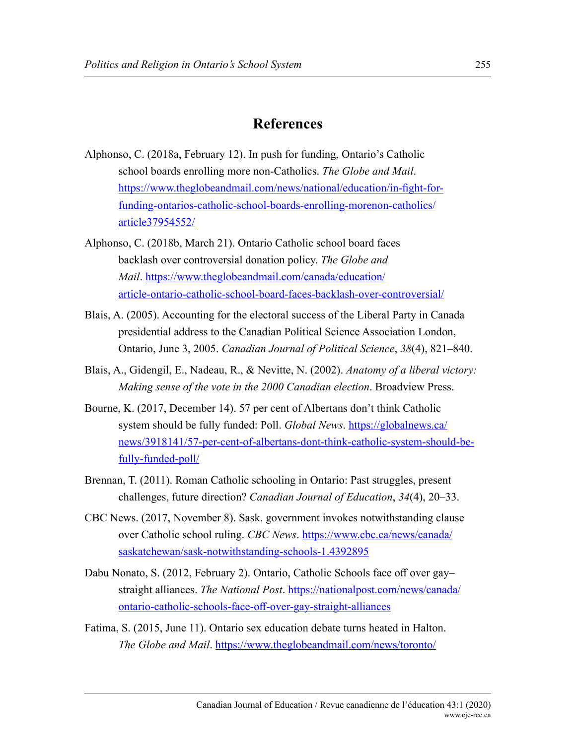## **References**

- Alphonso, C. (2018a, February 12). In push for funding, Ontario's Catholic school boards enrolling more non-Catholics. *The Globe and Mail*. [https://www.theglobeandmail.com/news/national/education/in-fight-for](https://www.theglobeandmail.com/news/national/education/in-fight-for-funding-ontarios-catholic-school-boards-enrolling-morenon-catholics/article37954552/)[funding-ontarios-catholic-school-boards-enrolling-morenon-catholics/](https://www.theglobeandmail.com/news/national/education/in-fight-for-funding-ontarios-catholic-school-boards-enrolling-morenon-catholics/article37954552/) [article37954552/](https://www.theglobeandmail.com/news/national/education/in-fight-for-funding-ontarios-catholic-school-boards-enrolling-morenon-catholics/article37954552/)
- Alphonso, C. (2018b, March 21). Ontario Catholic school board faces backlash over controversial donation policy. *The Globe and Mail*. [https://www.theglobeandmail.com/canada/education/](https://www.theglobeandmail.com/canada/education/article-ontario-catholic-school-board-faces-backlash-over-controversial/) [article-ontario-catholic-school-board-faces-backlash-over-controversial/](https://www.theglobeandmail.com/canada/education/article-ontario-catholic-school-board-faces-backlash-over-controversial/)
- Blais, A. (2005). Accounting for the electoral success of the Liberal Party in Canada presidential address to the Canadian Political Science Association London, Ontario, June 3, 2005. *Canadian Journal of Political Science*, *38*(4), 821–840.
- Blais, A., Gidengil, E., Nadeau, R., & Nevitte, N. (2002). *Anatomy of a liberal victory: Making sense of the vote in the 2000 Canadian election*. Broadview Press.
- Bourne, K. (2017, December 14). 57 per cent of Albertans don't think Catholic system should be fully funded: Poll. *Global News*. [https://globalnews.ca/](https://globalnews.ca/news/3918141/57-per-cent-of-albertans-dont-think-catholic-system-should-be-fully-funded-poll/) [news/3918141/57-per-cent-of-albertans-dont-think-catholic-system-should-be](https://globalnews.ca/news/3918141/57-per-cent-of-albertans-dont-think-catholic-system-should-be-fully-funded-poll/)[fully-funded-poll/](https://globalnews.ca/news/3918141/57-per-cent-of-albertans-dont-think-catholic-system-should-be-fully-funded-poll/)
- Brennan, T. (2011). Roman Catholic schooling in Ontario: Past struggles, present challenges, future direction? *Canadian Journal of Education*, *34*(4), 20–33.
- CBC News. (2017, November 8). Sask. government invokes notwithstanding clause over Catholic school ruling. *CBC News*. [https://www.cbc.ca/news/canada/](https://www.cbc.ca/news/canada/saskatchewan/sask-notwithstanding-schools-1.4392895) [saskatchewan/sask-notwithstanding-schools-1.4392895](https://www.cbc.ca/news/canada/saskatchewan/sask-notwithstanding-schools-1.4392895)
- Dabu Nonato, S. (2012, February 2). Ontario, Catholic Schools face off over gay– straight alliances. *The National Post*. [https://nationalpost.com/news/canada/](https://nationalpost.com/news/canada/ontario-catholic-schools-face-off-over-gay-straight-alliances) [ontario-catholic-schools-face-off-over-gay-straight-alliances](https://nationalpost.com/news/canada/ontario-catholic-schools-face-off-over-gay-straight-alliances)
- Fatima, S. (2015, June 11). Ontario sex education debate turns heated in Halton. *The Globe and Mail*. [https://www.theglobeandmail.com/news/toronto/](https://www.theglobeandmail.com/news/toronto/polarized-debates-over-ontario-sex-education-curriculum-continue/article24915342/)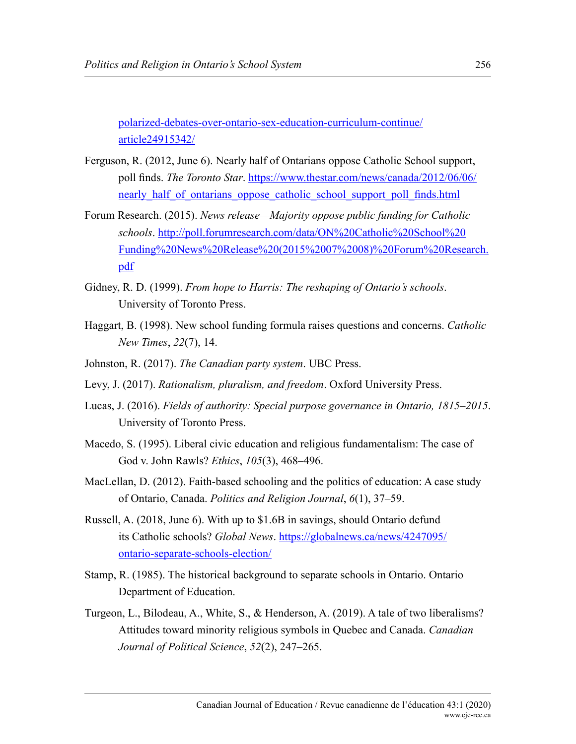[polarized-debates-over-ontario-sex-education-curriculum-continue/](https://www.theglobeandmail.com/news/toronto/polarized-debates-over-ontario-sex-education-curriculum-continue/article24915342/) [article24915342/](https://www.theglobeandmail.com/news/toronto/polarized-debates-over-ontario-sex-education-curriculum-continue/article24915342/)

- Ferguson, R. (2012, June 6). Nearly half of Ontarians oppose Catholic School support, poll finds. *The Toronto Star*. [https://www.thestar.com/news/canada/2012/06/06/](https://www.thestar.com/news/canada/2012/06/06/nearly_half_of_ontarians_oppose_catholic_school_support_poll_finds.html) nearly half of ontarians oppose catholic school support poll finds.html
- Forum Research. (2015). *News release—Majority oppose public funding for Catholic schools*. [http://poll.forumresearch.com/data/ON%20Catholic%20School%20](http://poll.forumresearch.com/data/ON%20Catholic%20School%20Funding%20News%20Release%20(2015%2007%2008)%20Forum%20Research.pdf) [Funding%20News%20Release%20\(2015%2007%2008\)%20Forum%20Research.](http://poll.forumresearch.com/data/ON%20Catholic%20School%20Funding%20News%20Release%20(2015%2007%2008)%20Forum%20Research.pdf) [pdf](http://poll.forumresearch.com/data/ON%20Catholic%20School%20Funding%20News%20Release%20(2015%2007%2008)%20Forum%20Research.pdf)
- Gidney, R. D. (1999). *From hope to Harris: The reshaping of Ontario's schools*. University of Toronto Press.
- Haggart, B. (1998). New school funding formula raises questions and concerns. *Catholic New Times*, *22*(7), 14.
- Johnston, R. (2017). *The Canadian party system*. UBC Press.
- Levy, J. (2017). *Rationalism, pluralism, and freedom*. Oxford University Press.
- Lucas, J. (2016). *Fields of authority: Special purpose governance in Ontario, 1815–2015*. University of Toronto Press.
- Macedo, S. (1995). Liberal civic education and religious fundamentalism: The case of God v. John Rawls? *Ethics*, *105*(3), 468–496.
- MacLellan, D. (2012). Faith-based schooling and the politics of education: A case study of Ontario, Canada. *Politics and Religion Journal*, *6*(1), 37–59.
- Russell, A. (2018, June 6). With up to \$1.6B in savings, should Ontario defund its Catholic schools? *Global News*. [https://globalnews.ca/news/4247095/](https://globalnews.ca/news/4247095/ontario-separate-schools-election/) [ontario-separate-schools-election/](https://globalnews.ca/news/4247095/ontario-separate-schools-election/)
- Stamp, R. (1985). The historical background to separate schools in Ontario. Ontario Department of Education.
- Turgeon, L., Bilodeau, A., White, S., & Henderson, A. (2019). A tale of two liberalisms? Attitudes toward minority religious symbols in Quebec and Canada. *Canadian Journal of Political Science*, *52*(2), 247–265.